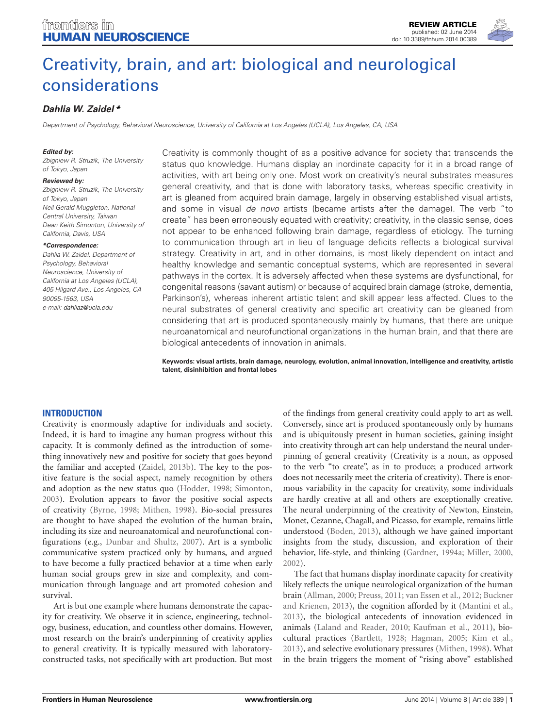# [Creativity, brain, and art: biological and neurological](http://www.frontiersin.org/Journal/10.3389/fnhum.2014.00389/abstract) [considerations](http://www.frontiersin.org/Journal/10.3389/fnhum.2014.00389/abstract)

# **[Dahlia W. Zaidel](http://community.frontiersin.org/people/u/112816) \***

Department of Psychology, Behavioral Neuroscience, University of California at Los Angeles (UCLA), Los Angeles, CA, USA

#### **Edited by:**

Zbigniew R. Struzik, The University of Tokyo, Japan

#### **Reviewed by:**

Zbigniew R. Struzik, The University of Tokyo, Japan Neil Gerald Muggleton, National Central University, Taiwan Dean Keith Simonton, University of California, Davis, USA

#### **\*Correspondence:**

Dahlia W. Zaidel, Department of Psychology, Behavioral Neuroscience, University of California at Los Angeles (UCLA), 405 Hilgard Ave., Los Angeles, CA 90095-1563, USA e-mail: [dahliaz@ucla.edu](mailto:dahliaz@ucla.edu)

Creativity is commonly thought of as a positive advance for society that transcends the status quo knowledge. Humans display an inordinate capacity for it in a broad range of activities, with art being only one. Most work on creativity's neural substrates measures general creativity, and that is done with laboratory tasks, whereas specific creativity in art is gleaned from acquired brain damage, largely in observing established visual artists, and some in visual de novo artists (became artists after the damage). The verb "to create" has been erroneously equated with creativity; creativity, in the classic sense, does not appear to be enhanced following brain damage, regardless of etiology. The turning to communication through art in lieu of language deficits reflects a biological survival strategy. Creativity in art, and in other domains, is most likely dependent on intact and healthy knowledge and semantic conceptual systems, which are represented in several pathways in the cortex. It is adversely affected when these systems are dysfunctional, for congenital reasons (savant autism) or because of acquired brain damage (stroke, dementia, Parkinson's), whereas inherent artistic talent and skill appear less affected. Clues to the neural substrates of general creativity and specific art creativity can be gleaned from considering that art is produced spontaneously mainly by humans, that there are unique neuroanatomical and neurofunctional organizations in the human brain, and that there are biological antecedents of innovation in animals.

**Keywords: visual artists, brain damage, neurology, evolution, animal innovation, intelligence and creativity, artistic talent, disinhibition and frontal lobes**

#### **INTRODUCTION**

Creativity is enormously adaptive for individuals and society. Indeed, it is hard to imagine any human progress without this capacity. It is commonly defined as the introduction of something innovatively new and positive for society that goes beyond the familiar and accepted [\(Zaidel, 2013b\)](#page-8-0). The key to the positive feature is the social aspect, namely recognition by others and adoption as the new status quo [\(Hodder, 1998;](#page-6-0) [Simonton,](#page-7-0) [2003\)](#page-7-0). Evolution appears to favor the positive social aspects of creativity [\(Byrne, 1998;](#page-6-1) [Mithen, 1998\)](#page-7-1). Bio-social pressures are thought to have shaped the evolution of the human brain, including its size and neuroanatomical and neurofunctional configurations (e.g., [Dunbar and Shultz, 2007\)](#page-6-2). Art is a symbolic communicative system practiced only by humans, and argued to have become a fully practiced behavior at a time when early human social groups grew in size and complexity, and communication through language and art promoted cohesion and survival.

Art is but one example where humans demonstrate the capacity for creativity. We observe it in science, engineering, technology, business, education, and countless other domains. However, most research on the brain's underpinning of creativity applies to general creativity. It is typically measured with laboratoryconstructed tasks, not specifically with art production. But most

of the findings from general creativity could apply to art as well. Conversely, since art is produced spontaneously only by humans and is ubiquitously present in human societies, gaining insight into creativity through art can help understand the neural underpinning of general creativity (Creativity is a noun, as opposed to the verb "to create", as in to produce; a produced artwork does not necessarily meet the criteria of creativity). There is enormous variability in the capacity for creativity, some individuals are hardly creative at all and others are exceptionally creative. The neural underpinning of the creativity of Newton, Einstein, Monet, Cezanne, Chagall, and Picasso, for example, remains little understood [\(Boden, 2013\)](#page-5-0), although we have gained important insights from the study, discussion, and exploration of their behavior, life-style, and thinking [\(Gardner, 1994a;](#page-6-3) [Miller, 2000,](#page-7-2) [2002\)](#page-7-3).

The fact that humans display inordinate capacity for creativity likely reflects the unique neurological organization of the human brain [\(Allman, 2000;](#page-5-1) [Preuss, 2011;](#page-7-4) [van Essen et al., 2012;](#page-7-5) [Buckner](#page-6-4) [and Krienen, 2013\)](#page-6-4), the cognition afforded by it [\(Mantini et al.,](#page-6-5) [2013\)](#page-6-5), the biological antecedents of innovation evidenced in animals [\(Laland and Reader, 2010;](#page-6-6) [Kaufman et al., 2011\)](#page-6-7), biocultural practices [\(Bartlett, 1928;](#page-5-2) [Hagman, 2005;](#page-6-8) [Kim et al.,](#page-6-9) [2013\)](#page-6-9), and selective evolutionary pressures [\(Mithen, 1998\)](#page-7-1). What in the brain triggers the moment of "rising above" established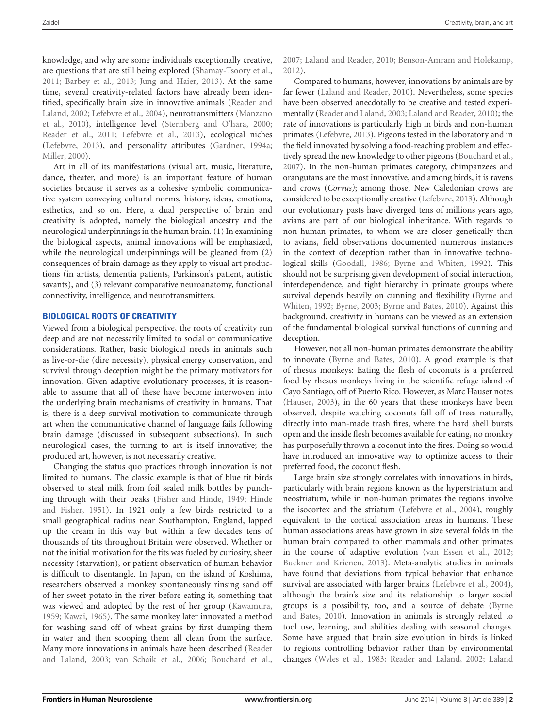knowledge, and why are some individuals exceptionally creative, are questions that are still being explored [\(Shamay-Tsoory et al.,](#page-7-6) [2011;](#page-7-6) [Barbey et al.,](#page-5-3) [2013;](#page-5-3) [Jung and Haier,](#page-6-10) [2013\)](#page-6-10). At the same time, several creativity-related factors have already been identified, specifically brain size in innovative animals [\(Reader and](#page-7-7) [Laland,](#page-7-7) [2002;](#page-7-7) [Lefebvre et al.,](#page-6-11) [2004\)](#page-6-11), neurotransmitters [\(Manzano](#page-6-12) [et al.,](#page-6-12) [2010\)](#page-6-12), intelligence level [\(Sternberg and O'hara,](#page-7-8) [2000;](#page-7-8) [Reader et al.,](#page-7-9) [2011;](#page-7-9) [Lefebvre et al.,](#page-6-13) [2013\)](#page-6-13), ecological niches [\(Lefebvre,](#page-6-14) [2013\)](#page-6-14), and personality attributes [\(Gardner,](#page-6-3) [1994a;](#page-6-3) [Miller,](#page-7-2) [2000\)](#page-7-2).

Art in all of its manifestations (visual art, music, literature, dance, theater, and more) is an important feature of human societies because it serves as a cohesive symbolic communicative system conveying cultural norms, history, ideas, emotions, esthetics, and so on. Here, a dual perspective of brain and creativity is adopted, namely the biological ancestry and the neurological underpinnings in the human brain. (1) In examining the biological aspects, animal innovations will be emphasized, while the neurological underpinnings will be gleaned from (2) consequences of brain damage as they apply to visual art productions (in artists, dementia patients, Parkinson's patient, autistic savants), and (3) relevant comparative neuroanatomy, functional connectivity, intelligence, and neurotransmitters.

#### **BIOLOGICAL ROOTS OF CREATIVITY**

Viewed from a biological perspective, the roots of creativity run deep and are not necessarily limited to social or communicative considerations. Rather, basic biological needs in animals such as live-or-die (dire necessity), physical energy conservation, and survival through deception might be the primary motivators for innovation. Given adaptive evolutionary processes, it is reasonable to assume that all of these have become interwoven into the underlying brain mechanisms of creativity in humans. That is, there is a deep survival motivation to communicate through art when the communicative channel of language fails following brain damage (discussed in subsequent subsections). In such neurological cases, the turning to art is itself innovative; the produced art, however, is not necessarily creative.

Changing the status quo practices through innovation is not limited to humans. The classic example is that of blue tit birds observed to steal milk from foil sealed milk bottles by punching through with their beaks [\(Fisher and Hinde,](#page-6-15) [1949;](#page-6-15) [Hinde](#page-6-16) [and Fisher,](#page-6-16) [1951\)](#page-6-16). In 1921 only a few birds restricted to a small geographical radius near Southampton, England, lapped up the cream in this way but within a few decades tens of thousands of tits throughout Britain were observed. Whether or not the initial motivation for the tits was fueled by curiosity, sheer necessity (starvation), or patient observation of human behavior is difficult to disentangle. In Japan, on the island of Koshima, researchers observed a monkey spontaneously rinsing sand off of her sweet potato in the river before eating it, something that was viewed and adopted by the rest of her group [\(Kawamura,](#page-6-17) [1959;](#page-6-17) [Kawai,](#page-6-18) [1965\)](#page-6-18). The same monkey later innovated a method for washing sand off of wheat grains by first dumping them in water and then scooping them all clean from the surface. Many more innovations in animals have been described [\(Reader](#page-7-10) [and Laland,](#page-7-10) [2003;](#page-7-10) [van Schaik et al.,](#page-7-11) [2006;](#page-7-11) [Bouchard et al.,](#page-5-4)

[2007;](#page-5-4) [Laland and Reader,](#page-6-6) [2010;](#page-6-6) [Benson-Amram and Holekamp,](#page-5-5) [2012\)](#page-5-5).

Compared to humans, however, innovations by animals are by far fewer [\(Laland and Reader,](#page-6-6) [2010\)](#page-6-6). Nevertheless, some species have been observed anecdotally to be creative and tested experimentally [\(Reader and Laland,](#page-7-10) [2003;](#page-7-10) [Laland and Reader,](#page-6-6) [2010\)](#page-6-6); the rate of innovations is particularly high in birds and non-human primates [\(Lefebvre,](#page-6-14) [2013\)](#page-6-14). Pigeons tested in the laboratory and in the field innovated by solving a food-reaching problem and effectively spread the new knowledge to other pigeons [\(Bouchard et al.,](#page-5-4) [2007\)](#page-5-4). In the non-human primates category, chimpanzees and orangutans are the most innovative, and among birds, it is ravens and crows (*Corvus)*; among those, New Caledonian crows are considered to be exceptionally creative [\(Lefebvre,](#page-6-14) [2013\)](#page-6-14). Although our evolutionary pasts have diverged tens of millions years ago, avians are part of our biological inheritance. With regards to non-human primates, to whom we are closer genetically than to avians, field observations documented numerous instances in the context of deception rather than in innovative technological skills [\(Goodall,](#page-6-19) [1986;](#page-6-19) [Byrne and Whiten,](#page-6-20) [1992\)](#page-6-20). This should not be surprising given development of social interaction, interdependence, and tight hierarchy in primate groups where survival depends heavily on cunning and flexibility [\(Byrne and](#page-6-20) [Whiten,](#page-6-20) [1992;](#page-6-20) [Byrne,](#page-6-21) [2003;](#page-6-21) [Byrne and Bates,](#page-6-22) [2010\)](#page-6-22). Against this background, creativity in humans can be viewed as an extension of the fundamental biological survival functions of cunning and deception.

However, not all non-human primates demonstrate the ability to innovate [\(Byrne and Bates,](#page-6-22) [2010\)](#page-6-22). A good example is that of rhesus monkeys: Eating the flesh of coconuts is a preferred food by rhesus monkeys living in the scientific refuge island of Cayo Santiago, off of Puerto Rico. However, as Marc Hauser notes [\(Hauser,](#page-6-23) [2003\)](#page-6-23), in the 60 years that these monkeys have been observed, despite watching coconuts fall off of trees naturally, directly into man-made trash fires, where the hard shell bursts open and the inside flesh becomes available for eating, no monkey has purposefully thrown a coconut into the fires. Doing so would have introduced an innovative way to optimize access to their preferred food, the coconut flesh.

Large brain size strongly correlates with innovations in birds, particularly with brain regions known as the hyperstriatum and neostriatum, while in non-human primates the regions involve the isocortex and the striatum [\(Lefebvre et al.,](#page-6-11) [2004\)](#page-6-11), roughly equivalent to the cortical association areas in humans. These human associations areas have grown in size several folds in the human brain compared to other mammals and other primates in the course of adaptive evolution [\(van Essen et al.,](#page-7-5) [2012;](#page-7-5) [Buckner and Krienen,](#page-6-4) [2013\)](#page-6-4). Meta-analytic studies in animals have found that deviations from typical behavior that enhance survival are associated with larger brains [\(Lefebvre et al.,](#page-6-11) [2004\)](#page-6-11), although the brain's size and its relationship to larger social groups is a possibility, too, and a source of debate [\(Byrne](#page-6-22) [and Bates,](#page-6-22) [2010\)](#page-6-22). Innovation in animals is strongly related to tool use, learning, and abilities dealing with seasonal changes. Some have argued that brain size evolution in birds is linked to regions controlling behavior rather than by environmental changes [\(Wyles et al.,](#page-7-12) [1983;](#page-7-12) [Reader and Laland,](#page-7-7) [2002;](#page-7-7) [Laland](#page-6-24)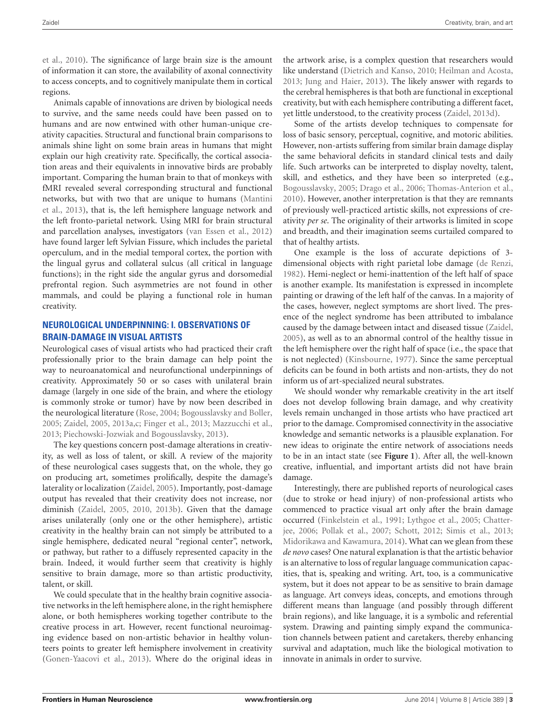[et al.,](#page-6-24) [2010\)](#page-6-24). The significance of large brain size is the amount of information it can store, the availability of axonal connectivity to access concepts, and to cognitively manipulate them in cortical regions.

Animals capable of innovations are driven by biological needs to survive, and the same needs could have been passed on to humans and are now entwined with other human-unique creativity capacities. Structural and functional brain comparisons to animals shine light on some brain areas in humans that might explain our high creativity rate. Specifically, the cortical association areas and their equivalents in innovative birds are probably important. Comparing the human brain to that of monkeys with fMRI revealed several corresponding structural and functional networks, but with two that are unique to humans [\(Mantini](#page-6-5) [et al.,](#page-6-5) [2013\)](#page-6-5), that is, the left hemisphere language network and the left fronto-parietal network. Using MRI for brain structural and parcellation analyses, investigators [\(van Essen et al.,](#page-7-5) [2012\)](#page-7-5) have found larger left Sylvian Fissure, which includes the parietal operculum, and in the medial temporal cortex, the portion with the lingual gyrus and collateral sulcus (all critical in language functions); in the right side the angular gyrus and dorsomedial prefrontal region. Such asymmetries are not found in other mammals, and could be playing a functional role in human creativity.

### **NEUROLOGICAL UNDERPINNING: I. OBSERVATIONS OF BRAIN-DAMAGE IN VISUAL ARTISTS**

Neurological cases of visual artists who had practiced their craft professionally prior to the brain damage can help point the way to neuroanatomical and neurofunctional underpinnings of creativity. Approximately 50 or so cases with unilateral brain damage (largely in one side of the brain, and where the etiology is commonly stroke or tumor) have by now been described in the neurological literature [\(Rose,](#page-7-13) [2004;](#page-7-13) [Bogousslavsky and Boller,](#page-5-6) [2005;](#page-5-6) [Zaidel,](#page-7-14) [2005,](#page-7-14) [2013a,](#page-7-15)[c;](#page-8-1) [Finger et al.,](#page-6-25) [2013;](#page-6-25) [Mazzucchi et al.,](#page-7-16) [2013;](#page-7-16) [Piechowski-Jozwiak and Bogousslavsky,](#page-7-17) [2013\)](#page-7-17).

The key questions concern post-damage alterations in creativity, as well as loss of talent, or skill. A review of the majority of these neurological cases suggests that, on the whole, they go on producing art, sometimes prolifically, despite the damage's laterality or localization [\(Zaidel,](#page-7-14) [2005\)](#page-7-14). Importantly, post-damage output has revealed that their creativity does not increase, nor diminish [\(Zaidel,](#page-7-14) [2005,](#page-7-14) [2010,](#page-7-18) [2013b\)](#page-8-0). Given that the damage arises unilaterally (only one or the other hemisphere), artistic creativity in the healthy brain can not simply be attributed to a single hemisphere, dedicated neural "regional center", network, or pathway, but rather to a diffusely represented capacity in the brain. Indeed, it would further seem that creativity is highly sensitive to brain damage, more so than artistic productivity, talent, or skill.

We could speculate that in the healthy brain cognitive associative networks in the left hemisphere alone, in the right hemisphere alone, or both hemispheres working together contribute to the creative process in art. However, recent functional neuroimaging evidence based on non-artistic behavior in healthy volunteers points to greater left hemisphere involvement in creativity [\(Gonen-Yaacovi et al.,](#page-6-26) [2013\)](#page-6-26). Where do the original ideas in

the artwork arise, is a complex question that researchers would like understand [\(Dietrich and Kanso,](#page-6-27) [2010;](#page-6-27) [Heilman and Acosta,](#page-6-28) [2013;](#page-6-28) [Jung and Haier,](#page-6-10) [2013\)](#page-6-10). The likely answer with regards to the cerebral hemispheres is that both are functional in exceptional creativity, but with each hemisphere contributing a different facet, yet little understood, to the creativity process [\(Zaidel,](#page-8-2) [2013d\)](#page-8-2).

Some of the artists develop techniques to compensate for loss of basic sensory, perceptual, cognitive, and motoric abilities. However, non-artists suffering from similar brain damage display the same behavioral deficits in standard clinical tests and daily life. Such artworks can be interpreted to display novelty, talent, skill, and esthetics, and they have been so interpreted (e.g., [Bogousslavsky,](#page-5-7) [2005;](#page-5-7) [Drago et al.,](#page-6-29) [2006;](#page-6-29) [Thomas-Anterion et al.,](#page-7-19) [2010\)](#page-7-19). However, another interpretation is that they are remnants of previously well-practiced artistic skills, not expressions of creativity *per se*. The originality of their artworks is limited in scope and breadth, and their imagination seems curtailed compared to that of healthy artists.

One example is the loss of accurate depictions of 3 dimensional objects with right parietal lobe damage [\(de Renzi,](#page-6-30) [1982\)](#page-6-30). Hemi-neglect or hemi-inattention of the left half of space is another example. Its manifestation is expressed in incomplete painting or drawing of the left half of the canvas. In a majority of the cases, however, neglect symptoms are short lived. The presence of the neglect syndrome has been attributed to imbalance caused by the damage between intact and diseased tissue [\(Zaidel,](#page-7-14) [2005\)](#page-7-14), as well as to an abnormal control of the healthy tissue in the left hemisphere over the right half of space (i.e., the space that is not neglected) [\(Kinsbourne,](#page-6-31) [1977\)](#page-6-31). Since the same perceptual deficits can be found in both artists and non-artists, they do not inform us of art-specialized neural substrates.

We should wonder why remarkable creativity in the art itself does not develop following brain damage, and why creativity levels remain unchanged in those artists who have practiced art prior to the damage. Compromised connectivity in the associative knowledge and semantic networks is a plausible explanation. For new ideas to originate the entire network of associations needs to be in an intact state (see **[Figure 1](#page-3-0)**). After all, the well-known creative, influential, and important artists did not have brain damage.

Interestingly, there are published reports of neurological cases (due to stroke or head injury) of non-professional artists who commenced to practice visual art only after the brain damage occurred [\(Finkelstein et al.,](#page-6-32) [1991;](#page-6-32) [Lythgoe et al.,](#page-6-33) [2005;](#page-6-33) [Chatter](#page-6-34)[jee,](#page-6-34) [2006;](#page-6-34) [Pollak et al.,](#page-7-20) [2007;](#page-7-20) [Schott,](#page-7-21) [2012;](#page-7-21) [Simis et al.,](#page-7-22) [2013;](#page-7-22) [Midorikawa and Kawamura,](#page-7-23) [2014\)](#page-7-23). What can we glean from these *de novo* cases? One natural explanation is that the artistic behavior is an alternative to loss of regular language communication capacities, that is, speaking and writing. Art, too, is a communicative system, but it does not appear to be as sensitive to brain damage as language. Art conveys ideas, concepts, and emotions through different means than language (and possibly through different brain regions), and like language, it is a symbolic and referential system. Drawing and painting simply expand the communication channels between patient and caretakers, thereby enhancing survival and adaptation, much like the biological motivation to innovate in animals in order to survive.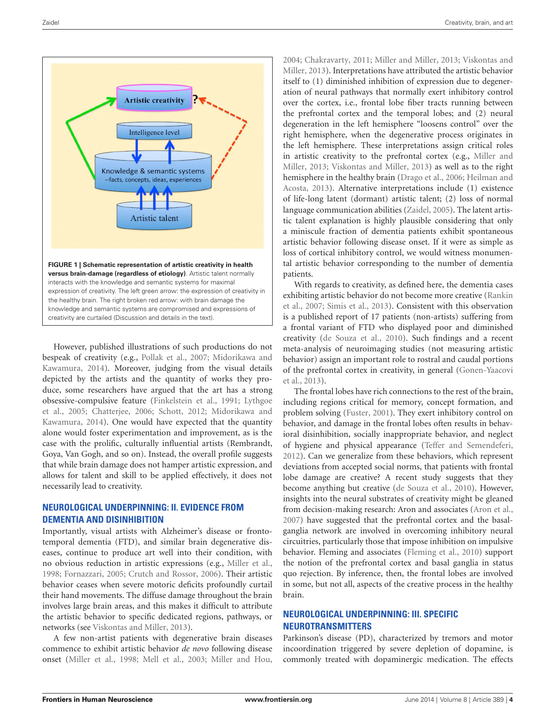

<span id="page-3-0"></span>However, published illustrations of such productions do not bespeak of creativity (e.g., [Pollak et al.,](#page-7-20) [2007;](#page-7-20) [Midorikawa and](#page-7-23) [Kawamura,](#page-7-23) [2014\)](#page-7-23). Moreover, judging from the visual details depicted by the artists and the quantity of works they produce, some researchers have argued that the art has a strong obsessive-compulsive feature [\(Finkelstein et al.,](#page-6-32) [1991;](#page-6-32) [Lythgoe](#page-6-33) [et al.,](#page-6-33) [2005;](#page-6-33) [Chatterjee,](#page-6-34) [2006;](#page-6-34) [Schott,](#page-7-21) [2012;](#page-7-21) [Midorikawa and](#page-7-23) [Kawamura,](#page-7-23) [2014\)](#page-7-23). One would have expected that the quantity alone would foster experimentation and improvement, as is the case with the prolific, culturally influential artists (Rembrandt, Goya, Van Gogh, and so on). Instead, the overall profile suggests that while brain damage does not hamper artistic expression, and allows for talent and skill to be applied effectively, it does not necessarily lead to creativity.

## **NEUROLOGICAL UNDERPINNING: II. EVIDENCE FROM DEMENTIA AND DISINHIBITION**

Importantly, visual artists with Alzheimer's disease or frontotemporal dementia (FTD), and similar brain degenerative diseases, continue to produce art well into their condition, with no obvious reduction in artistic expressions (e.g., [Miller et al.,](#page-7-24) [1998;](#page-7-24) [Fornazzari,](#page-6-35) [2005;](#page-6-35) [Crutch and Rossor,](#page-6-36) [2006\)](#page-6-36). Their artistic behavior ceases when severe motoric deficits profoundly curtail their hand movements. The diffuse damage throughout the brain involves large brain areas, and this makes it difficult to attribute the artistic behavior to specific dedicated regions, pathways, or networks (see [Viskontas and Miller,](#page-7-25) [2013\)](#page-7-25).

A few non-artist patients with degenerative brain diseases commence to exhibit artistic behavior *de novo* following disease onset [\(Miller et al.,](#page-7-24) [1998;](#page-7-24) [Mell et al.,](#page-7-26) [2003;](#page-7-26) [Miller and Hou,](#page-7-27)

[2004;](#page-7-27) [Chakravarty,](#page-6-37) [2011;](#page-6-37) [Miller and Miller,](#page-7-28) [2013;](#page-7-28) [Viskontas and](#page-7-25) [Miller,](#page-7-25) [2013\)](#page-7-25). Interpretations have attributed the artistic behavior itself to (1) diminished inhibition of expression due to degeneration of neural pathways that normally exert inhibitory control over the cortex, i.e., frontal lobe fiber tracts running between the prefrontal cortex and the temporal lobes; and (2) neural degeneration in the left hemisphere "loosens control" over the right hemisphere, when the degenerative process originates in the left hemisphere. These interpretations assign critical roles in artistic creativity to the prefrontal cortex (e.g., [Miller and](#page-7-28) [Miller,](#page-7-28) [2013;](#page-7-28) [Viskontas and Miller,](#page-7-25) [2013\)](#page-7-25) as well as to the right hemisphere in the healthy brain [\(Drago et al.,](#page-6-29) [2006;](#page-6-29) [Heilman and](#page-6-28) [Acosta,](#page-6-28) [2013\)](#page-6-28). Alternative interpretations include (1) existence of life-long latent (dormant) artistic talent; (2) loss of normal language communication abilities [\(Zaidel,](#page-7-14) [2005\)](#page-7-14). The latent artistic talent explanation is highly plausible considering that only a miniscule fraction of dementia patients exhibit spontaneous artistic behavior following disease onset. If it were as simple as loss of cortical inhibitory control, we would witness monumental artistic behavior corresponding to the number of dementia patients.

With regards to creativity, as defined here, the dementia cases exhibiting artistic behavior do not become more creative [\(Rankin](#page-7-29) [et al.,](#page-7-29) [2007;](#page-7-29) [Simis et al.,](#page-7-22) [2013\)](#page-7-22). Consistent with this observation is a published report of 17 patients (non-artists) suffering from a frontal variant of FTD who displayed poor and diminished creativity [\(de Souza et al.,](#page-6-38) [2010\)](#page-6-38). Such findings and a recent meta-analysis of neuroimaging studies (not measuring artistic behavior) assign an important role to rostral and caudal portions of the prefrontal cortex in creativity, in general [\(Gonen-Yaacovi](#page-6-26) [et al.,](#page-6-26) [2013\)](#page-6-26).

The frontal lobes have rich connections to the rest of the brain, including regions critical for memory, concept formation, and problem solving [\(Fuster,](#page-6-39) [2001\)](#page-6-39). They exert inhibitory control on behavior, and damage in the frontal lobes often results in behavioral disinhibition, socially inappropriate behavior, and neglect of hygiene and physical appearance [\(Teffer and Semendeferi,](#page-7-30) [2012\)](#page-7-30). Can we generalize from these behaviors, which represent deviations from accepted social norms, that patients with frontal lobe damage are creative? A recent study suggests that they become anything but creative [\(de Souza et al.,](#page-6-38) [2010\)](#page-6-38). However, insights into the neural substrates of creativity might be gleaned from decision-making research: Aron and associates [\(Aron et al.,](#page-5-8) [2007\)](#page-5-8) have suggested that the prefrontal cortex and the basalganglia network are involved in overcoming inhibitory neural circuitries, particularly those that impose inhibition on impulsive behavior. Fleming and associates [\(Fleming et al.,](#page-6-40) [2010\)](#page-6-40) support the notion of the prefrontal cortex and basal ganglia in status quo rejection. By inference, then, the frontal lobes are involved in some, but not all, aspects of the creative process in the healthy brain.

# **NEUROLOGICAL UNDERPINNING: III. SPECIFIC NEUROTRANSMITTERS**

Parkinson's disease (PD), characterized by tremors and motor incoordination triggered by severe depletion of dopamine, is commonly treated with dopaminergic medication. The effects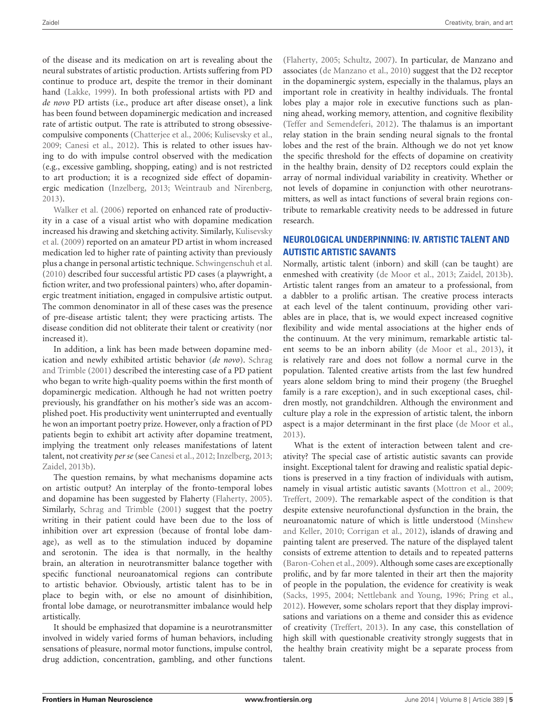of the disease and its medication on art is revealing about the neural substrates of artistic production. Artists suffering from PD continue to produce art, despite the tremor in their dominant hand [\(Lakke,](#page-6-41) [1999\)](#page-6-41). In both professional artists with PD and *de novo* PD artists (i.e., produce art after disease onset), a link has been found between dopaminergic medication and increased rate of artistic output. The rate is attributed to strong obsessivecompulsive components [\(Chatterjee et al.,](#page-6-42) [2006;](#page-6-42) [Kulisevsky et al.,](#page-6-43) [2009;](#page-6-43) [Canesi et al.,](#page-6-44) [2012\)](#page-6-44). This is related to other issues having to do with impulse control observed with the medication (e.g., excessive gambling, shopping, eating) and is not restricted to art production; it is a recognized side effect of dopaminergic medication [\(Inzelberg,](#page-6-45) [2013;](#page-6-45) [Weintraub and Nirenberg,](#page-7-31) [2013\)](#page-7-31).

[Walker et al.](#page-7-32) [\(2006\)](#page-7-32) reported on enhanced rate of productivity in a case of a visual artist who with dopamine medication increased his drawing and sketching activity. Similarly, [Kulisevsky](#page-6-43) [et al.](#page-6-43) [\(2009\)](#page-6-43) reported on an amateur PD artist in whom increased medication led to higher rate of painting activity than previously plus a change in personal artistic technique. [Schwingenschuh et al.](#page-7-33) [\(2010\)](#page-7-33) described four successful artistic PD cases (a playwright, a fiction writer, and two professional painters) who, after dopaminergic treatment initiation, engaged in compulsive artistic output. The common denominator in all of these cases was the presence of pre-disease artistic talent; they were practicing artists. The disease condition did not obliterate their talent or creativity (nor increased it).

In addition, a link has been made between dopamine medication and newly exhibited artistic behavior (*de novo*). [Schrag](#page-7-34) [and Trimble](#page-7-34) [\(2001\)](#page-7-34) described the interesting case of a PD patient who began to write high-quality poems within the first month of dopaminergic medication. Although he had not written poetry previously, his grandfather on his mother's side was an accomplished poet. His productivity went uninterrupted and eventually he won an important poetry prize. However, only a fraction of PD patients begin to exhibit art activity after dopamine treatment, implying the treatment only releases manifestations of latent talent, not creativity *per se* (see [Canesi et al.,](#page-6-44) [2012;](#page-6-44) [Inzelberg,](#page-6-45) [2013;](#page-6-45) [Zaidel,](#page-8-0) [2013b\)](#page-8-0).

The question remains, by what mechanisms dopamine acts on artistic output? An interplay of the fronto-temporal lobes and dopamine has been suggested by Flaherty [\(Flaherty,](#page-6-46) [2005\)](#page-6-46). Similarly, [Schrag and Trimble](#page-7-34) [\(2001\)](#page-7-34) suggest that the poetry writing in their patient could have been due to the loss of inhibition over art expression (because of frontal lobe damage), as well as to the stimulation induced by dopamine and serotonin. The idea is that normally, in the healthy brain, an alteration in neurotransmitter balance together with specific functional neuroanatomical regions can contribute to artistic behavior. Obviously, artistic talent has to be in place to begin with, or else no amount of disinhibition, frontal lobe damage, or neurotransmitter imbalance would help artistically.

It should be emphasized that dopamine is a neurotransmitter involved in widely varied forms of human behaviors, including sensations of pleasure, normal motor functions, impulse control, drug addiction, concentration, gambling, and other functions

[\(Flaherty,](#page-6-46) [2005;](#page-6-46) [Schultz,](#page-7-35) [2007\)](#page-7-35). In particular, de Manzano and associates [\(de Manzano et al.,](#page-6-47) [2010\)](#page-6-47) suggest that the D2 receptor in the dopaminergic system, especially in the thalamus, plays an important role in creativity in healthy individuals. The frontal lobes play a major role in executive functions such as planning ahead, working memory, attention, and cognitive flexibility [\(Teffer and Semendeferi,](#page-7-30) [2012\)](#page-7-30). The thalamus is an important relay station in the brain sending neural signals to the frontal lobes and the rest of the brain. Although we do not yet know the specific threshold for the effects of dopamine on creativity in the healthy brain, density of D2 receptors could explain the array of normal individual variability in creativity. Whether or not levels of dopamine in conjunction with other neurotransmitters, as well as intact functions of several brain regions contribute to remarkable creativity needs to be addressed in future research.

## **NEUROLOGICAL UNDERPINNING: IV. ARTISTIC TALENT AND AUTISTIC ARTISTIC SAVANTS**

Normally, artistic talent (inborn) and skill (can be taught) are enmeshed with creativity [\(de Moor et al.,](#page-6-48) [2013;](#page-6-48) [Zaidel,](#page-8-0) [2013b\)](#page-8-0). Artistic talent ranges from an amateur to a professional, from a dabbler to a prolific artisan. The creative process interacts at each level of the talent continuum, providing other variables are in place, that is, we would expect increased cognitive flexibility and wide mental associations at the higher ends of the continuum. At the very minimum, remarkable artistic talent seems to be an inborn ability [\(de Moor et al.,](#page-6-48) [2013\)](#page-6-48), it is relatively rare and does not follow a normal curve in the population. Talented creative artists from the last few hundred years alone seldom bring to mind their progeny (the Brueghel family is a rare exception), and in such exceptional cases, children mostly, not grandchildren. Although the environment and culture play a role in the expression of artistic talent, the inborn aspect is a major determinant in the first place [\(de Moor et al.,](#page-6-48) [2013\)](#page-6-48).

What is the extent of interaction between talent and creativity? The special case of artistic autistic savants can provide insight. Exceptional talent for drawing and realistic spatial depictions is preserved in a tiny fraction of individuals with autism, namely in visual artistic autistic savants [\(Mottron et al.,](#page-7-36) [2009;](#page-7-36) [Treffert,](#page-7-37) [2009\)](#page-7-37). The remarkable aspect of the condition is that despite extensive neurofunctional dysfunction in the brain, the neuroanatomic nature of which is little understood [\(Minshew](#page-7-38) [and Keller,](#page-7-38) [2010;](#page-7-38) [Corrigan et al.,](#page-6-49) [2012\)](#page-6-49), islands of drawing and painting talent are preserved. The nature of the displayed talent consists of extreme attention to details and to repeated patterns [\(Baron-Cohen et al.,](#page-5-9) [2009\)](#page-5-9). Although some cases are exceptionally prolific, and by far more talented in their art then the majority of people in the population, the evidence for creativity is weak [\(Sacks,](#page-7-39) [1995,](#page-7-39) [2004;](#page-7-40) [Nettlebank and Young,](#page-7-41) [1996;](#page-7-41) [Pring et al.,](#page-7-42) [2012\)](#page-7-42). However, some scholars report that they display improvisations and variations on a theme and consider this as evidence of creativity [\(Treffert,](#page-7-43) [2013\)](#page-7-43). In any case, this constellation of high skill with questionable creativity strongly suggests that in the healthy brain creativity might be a separate process from talent.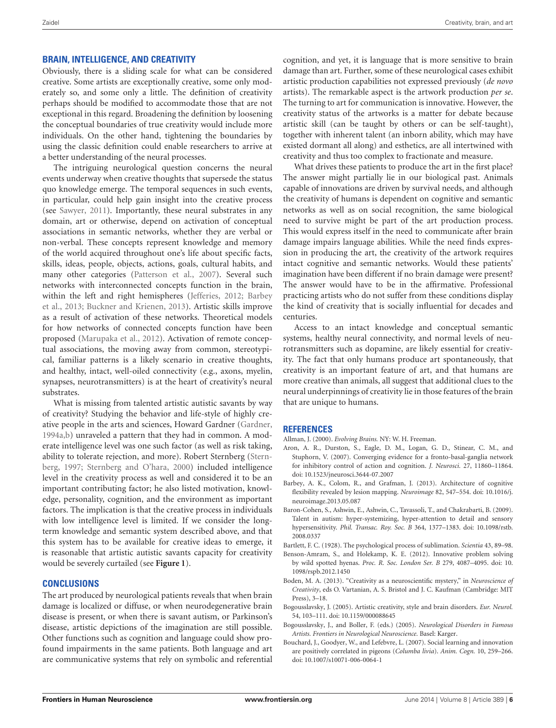#### **BRAIN, INTELLIGENCE, AND CREATIVITY**

Obviously, there is a sliding scale for what can be considered creative. Some artists are exceptionally creative, some only moderately so, and some only a little. The definition of creativity perhaps should be modified to accommodate those that are not exceptional in this regard. Broadening the definition by loosening the conceptual boundaries of true creativity would include more individuals. On the other hand, tightening the boundaries by using the classic definition could enable researchers to arrive at a better understanding of the neural processes.

The intriguing neurological question concerns the neural events underway when creative thoughts that supersede the status quo knowledge emerge. The temporal sequences in such events, in particular, could help gain insight into the creative process (see [Sawyer,](#page-7-44) [2011\)](#page-7-44). Importantly, these neural substrates in any domain, art or otherwise, depend on activation of conceptual associations in semantic networks, whether they are verbal or non-verbal. These concepts represent knowledge and memory of the world acquired throughout one's life about specific facts, skills, ideas, people, objects, actions, goals, cultural habits, and many other categories [\(Patterson et al.,](#page-7-45) [2007\)](#page-7-45). Several such networks with interconnected concepts function in the brain, within the left and right hemispheres [\(Jefferies,](#page-6-50) [2012;](#page-6-50) [Barbey](#page-5-3) [et al.,](#page-5-3) [2013;](#page-5-3) [Buckner and Krienen,](#page-6-4) [2013\)](#page-6-4). Artistic skills improve as a result of activation of these networks. Theoretical models for how networks of connected concepts function have been proposed [\(Marupaka et al.,](#page-7-46) [2012\)](#page-7-46). Activation of remote conceptual associations, the moving away from common, stereotypical, familiar patterns is a likely scenario in creative thoughts, and healthy, intact, well-oiled connectivity (e.g., axons, myelin, synapses, neurotransmitters) is at the heart of creativity's neural substrates.

What is missing from talented artistic autistic savants by way of creativity? Studying the behavior and life-style of highly creative people in the arts and sciences, Howard Gardner [\(Gardner,](#page-6-3) [1994a,](#page-6-3)[b\)](#page-6-51) unraveled a pattern that they had in common. A moderate intelligence level was one such factor (as well as risk taking, ability to tolerate rejection, and more). Robert Sternberg [\(Stern](#page-7-47)[berg,](#page-7-47) [1997;](#page-7-47) [Sternberg and O'hara,](#page-7-8) [2000\)](#page-7-8) included intelligence level in the creativity process as well and considered it to be an important contributing factor; he also listed motivation, knowledge, personality, cognition, and the environment as important factors. The implication is that the creative process in individuals with low intelligence level is limited. If we consider the longterm knowledge and semantic system described above, and that this system has to be available for creative ideas to emerge, it is reasonable that artistic autistic savants capacity for creativity would be severely curtailed (see **[Figure 1](#page-3-0)**).

#### **CONCLUSIONS**

The art produced by neurological patients reveals that when brain damage is localized or diffuse, or when neurodegenerative brain disease is present, or when there is savant autism, or Parkinson's disease, artistic depictions of the imagination are still possible. Other functions such as cognition and language could show profound impairments in the same patients. Both language and art are communicative systems that rely on symbolic and referential

cognition, and yet, it is language that is more sensitive to brain damage than art. Further, some of these neurological cases exhibit artistic production capabilities not expressed previously (*de novo* artists). The remarkable aspect is the artwork production *per se*. The turning to art for communication is innovative. However, the creativity status of the artworks is a matter for debate because artistic skill (can be taught by others or can be self-taught), together with inherent talent (an inborn ability, which may have existed dormant all along) and esthetics, are all intertwined with creativity and thus too complex to fractionate and measure.

What drives these patients to produce the art in the first place? The answer might partially lie in our biological past. Animals capable of innovations are driven by survival needs, and although the creativity of humans is dependent on cognitive and semantic networks as well as on social recognition, the same biological need to survive might be part of the art production process. This would express itself in the need to communicate after brain damage impairs language abilities. While the need finds expression in producing the art, the creativity of the artwork requires intact cognitive and semantic networks. Would these patients' imagination have been different if no brain damage were present? The answer would have to be in the affirmative. Professional practicing artists who do not suffer from these conditions display the kind of creativity that is socially influential for decades and centuries.

Access to an intact knowledge and conceptual semantic systems, healthy neural connectivity, and normal levels of neurotransmitters such as dopamine, are likely essential for creativity. The fact that only humans produce art spontaneously, that creativity is an important feature of art, and that humans are more creative than animals, all suggest that additional clues to the neural underpinnings of creativity lie in those features of the brain that are unique to humans.

#### **REFERENCES**

- <span id="page-5-1"></span>Allman, J. (2000). *Evolving Brains.* NY: W. H. Freeman.
- <span id="page-5-8"></span>Aron, A. R., Durston, S., Eagle, D. M., Logan, G. D., Stinear, C. M., and Stuphorn, V. (2007). Converging evidence for a fronto-basal-ganglia network for inhibitory control of action and cognition. *J. Neurosci.* 27, 11860–11864. doi: 10.1523/jneurosci.3644-07.2007
- <span id="page-5-3"></span>Barbey, A. K., Colom, R., and Grafman, J. (2013). Architecture of cognitive flexibility revealed by lesion mapping. *Neuroimage* 82, 547–554. doi: 10.1016/j. neuroimage.2013.05.087
- <span id="page-5-9"></span>Baron-Cohen, S., Ashwin, E., Ashwin, C., Tavassoli, T., and Chakrabarti, B. (2009). Talent in autism: hyper-systemizing, hyper-attention to detail and sensory hypersensitivity. *Phil. Transac. Roy. Soc. B* 364, 1377–1383. doi: 10.1098/rstb. 2008.0337

<span id="page-5-2"></span>Bartlett, F. C. (1928). The psychological process of sublimation. *Scientia* 43, 89–98.

- <span id="page-5-5"></span>Benson-Amram, S., and Holekamp, K. E. (2012). Innovative problem solving by wild spotted hyenas. *Proc. R. Soc. London Ser. B* 279, 4087–4095. doi: 10. 1098/rspb.2012.1450
- <span id="page-5-0"></span>Boden, M. A. (2013). "Creativity as a neuroscientific mystery," in *Neuroscience of Creativity*, eds O. Vartanian, A. S. Bristol and J. C. Kaufman (Cambridge: MIT Press), 3–18.
- <span id="page-5-7"></span>Bogousslavsky, J. (2005). Artistic creativity, style and brain disorders. *Eur. Neurol.* 54, 103–111. doi: 10.1159/000088645
- <span id="page-5-6"></span>Bogousslavsky, J., and Boller, F. (eds.) (2005). *Neurological Disorders in Famous Artists. Frontiers in Neurological Neuroscience.* Basel: Karger.
- <span id="page-5-4"></span>Bouchard, J., Goodyer, W., and Lefebvre, L. (2007). Social learning and innovation are positively correlated in pigeons (*Columba livia*). *Anim. Cogn.* 10, 259–266. doi: 10.1007/s10071-006-0064-1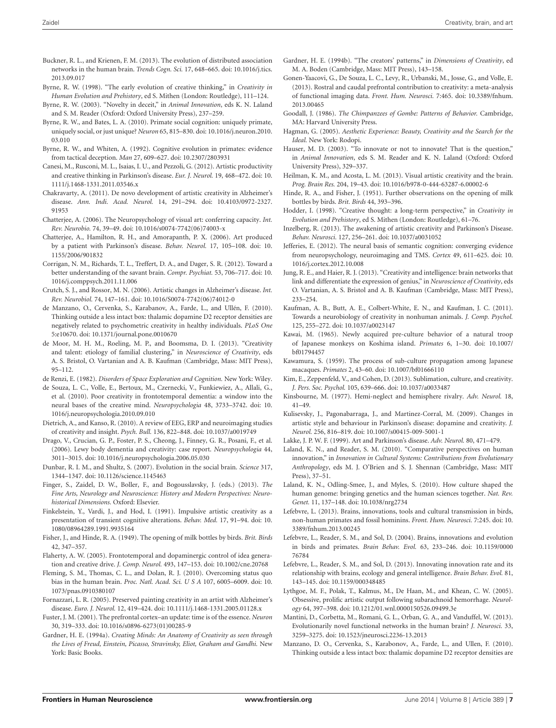- <span id="page-6-4"></span>Buckner, R. L., and Krienen, F. M. (2013). The evolution of distributed association networks in the human brain. *Trends Cogn. Sci.* 17, 648–665. doi: 10.1016/j.tics. 2013.09.017
- <span id="page-6-1"></span>Byrne, R. W. (1998). "The early evolution of creative thinking," in *Creativity in Human Evolution and Prehistory*, ed S. Mithen (London: Routledge), 111–124.
- <span id="page-6-21"></span>Byrne, R. W. (2003). "Novelty in deceit," in *Animal Innovation*, eds K. N. Laland and S. M. Reader (Oxford: Oxford University Press), 237–259.
- <span id="page-6-22"></span>Byrne, R. W., and Bates, L. A. (2010). Primate social cognition: uniquely primate, uniquely social, or just unique? *Neuron* 65, 815–830. doi: 10.1016/j.neuron.2010. 03.010
- <span id="page-6-20"></span>Byrne, R. W., and Whiten, A. (1992). Cognitive evolution in primates: evidence from tactical deception. *Man* 27, 609–627. doi: 10.2307/2803931
- <span id="page-6-44"></span>Canesi, M., Rusconi, M. L., Isaias, I. U., and Pezzoli, G. (2012). Artistic productivity and creative thinking in Parkinson's disease. *Eur. J. Neurol.* 19, 468–472. doi: 10. 1111/j.1468-1331.2011.03546.x
- <span id="page-6-37"></span>Chakravarty, A. (2011). De novo development of artistic creativity in Alzheimer's disease. *Ann. Indi. Acad. Neurol.* 14, 291–294. doi: 10.4103/0972-2327. 91953
- <span id="page-6-34"></span>Chatterjee, A. (2006). The Neuropsychology of visual art: conferring capacity. *Int. Rev. Neurobio.* 74, 39–49. doi: 10.1016/s0074-7742(06)74003-x
- <span id="page-6-42"></span>Chatterjee, A., Hamilton, R. H., and Amorapanth, P. X. (2006). Art produced by a patient with Parkinson's disease. *Behav. Neurol.* 17, 105–108. doi: 10. 1155/2006/901832
- <span id="page-6-49"></span>Corrigan, N. M., Richards, T. L., Treffert, D. A., and Dager, S. R. (2012). Toward a better understanding of the savant brain. *Compr. Psychiat.* 53, 706–717. doi: 10. 1016/j.comppsych.2011.11.006
- <span id="page-6-36"></span>Crutch, S. J., and Rossor, M. N. (2006). Artistic changes in Alzheimer's disease. *Int. Rev. Neurobiol.* 74, 147–161. doi: 10.1016/S0074-7742(06)74012-0
- <span id="page-6-47"></span>de Manzano, O., Cervenka, S., Karabanov, A., Farde, L., and Ullén, F. (2010). Thinking outside a less intact box: thalamic dopamine D2 receptor densities are negatively related to psychometric creativity in healthy individuals. *PLoS One* 5:e10670. doi: 10.1371/journal.pone.0010670
- <span id="page-6-48"></span>de Moor, M. H. M., Roeling, M. P., and Boomsma, D. I. (2013). "Creativity and talent: etiology of familial clustering," in *Neuroscience of Creativity*, eds A. S. Bristol, O. Vartanian and A. B. Kaufman (Cambridge, Mass: MIT Press), 95–112.
- <span id="page-6-30"></span>de Renzi, E. (1982). *Disorders of Space Exploration and Cognition.* New York: Wiley.
- <span id="page-6-38"></span>de Souza, L. C., Volle, E., Bertoux, M., Czernecki, V., Funkiewiez, A., Allali, G., et al. (2010). Poor creativity in frontotemporal dementia: a window into the neural bases of the creative mind. *Neuropsychologia* 48, 3733–3742. doi: 10. 1016/j.neuropsychologia.2010.09.010
- <span id="page-6-27"></span>Dietrich, A., and Kanso, R. (2010). A review of EEG, ERP and neuroimaging studies of creativity and insight. *Psych. Bull.* 136, 822–848. doi: 10.1037/a0019749
- <span id="page-6-29"></span>Drago, V., Crucian, G. P., Foster, P. S., Cheong, J., Finney, G. R., Posani, F., et al. (2006). Lewy body dementia and creativity: case report. *Neuropsychologia* 44, 3011–3015. doi: 10.1016/j.neuropsychologia.2006.05.030
- <span id="page-6-2"></span>Dunbar, R. I. M., and Shultz, S. (2007). Evolution in the social brain. *Science* 317, 1344–1347. doi: 10.1126/science.1145463
- <span id="page-6-25"></span>Finger, S., Zaidel, D. W., Boller, F., and Bogousslavsky, J. (eds.) (2013). *The Fine Arts, Neurology and Neuroscience: History and Modern Perspectives: Neurohistorical Dimensions.* Oxford: Elsevier.
- <span id="page-6-32"></span>Finkelstein, Y., Vardi, J., and Hod, I. (1991). Impulsive artistic creativity as a presentation of transient cognitive alterations. *Behav. Med.* 17, 91–94. doi: 10. 1080/08964289.1991.9935164
- <span id="page-6-15"></span>Fisher, J., and Hinde, R. A. (1949). The opening of milk bottles by birds. *Brit. Birds* 42, 347–357.
- <span id="page-6-46"></span>Flaherty, A. W. (2005). Frontotemporal and dopaminergic control of idea generation and creative drive. *J. Comp. Neurol.* 493, 147–153. doi: 10.1002/cne.20768
- <span id="page-6-40"></span>Fleming, S. M., Thomas, C. L., and Dolan, R. J. (2010). Overcoming status quo bias in the human brain. *Proc. Natl. Acad. Sci. U S A* 107, 6005–6009. doi: 10. 1073/pnas.0910380107
- <span id="page-6-35"></span>Fornazzari, L. R. (2005). Preserved painting creativity in an artist with Alzheimer's disease. *Euro. J. Neurol.* 12, 419–424. doi: 10.1111/j.1468-1331.2005.01128.x
- <span id="page-6-39"></span>Fuster, J. M. (2001). The prefrontal cortex–an update: time is of the essence. *Neuron* 30, 319–333. doi: 10.1016/s0896-6273(01)00285-9
- <span id="page-6-3"></span>Gardner, H. E. (1994a). *Creating Minds: An Anatomy of Creativity as seen through the Lives of Freud, Einstein, Picasso, Stravinsky, Eliot, Graham and Gandhi.* New York: Basic Books.
- <span id="page-6-51"></span>Gardner, H. E. (1994b). "The creators' patterns," in *Dimensions of Creativity*, ed M. A. Boden (Cambridge, Mass: MIT Press), 143–158.
- <span id="page-6-26"></span>Gonen-Yaacovi, G., De Souza, L. C., Levy, R., Urbanski, M., Josse, G., and Volle, E. (2013). Rostral and caudal prefrontal contribution to creativity: a meta-analysis of functional imaging data. *Front. Hum. Neurosci.* 7:465. doi: 10.3389/fnhum. 2013.00465
- <span id="page-6-19"></span>Goodall, J. (1986). *The Chimpanzees of Gombe: Patterns of Behavior.* Cambridge, MA: Harvard University Press.
- <span id="page-6-8"></span>Hagman, G. (2005). *Aesthetic Experience: Beauty, Creativity and the Search for the Ideal.* New York: Rodopi.
- <span id="page-6-23"></span>Hauser, M. D. (2003). "To innovate or not to innovate? That is the question," in *Animal Innovation*, eds S. M. Reader and K. N. Laland (Oxford: Oxford University Press), 329–337.
- <span id="page-6-28"></span>Heilman, K. M., and Acosta, L. M. (2013). Visual artistic creativity and the brain. *Prog. Brain Res.* 204, 19–43. doi: 10.1016/b978-0-444-63287-6.00002-6
- <span id="page-6-16"></span>Hinde, R. A., and Fisher, J. (1951). Further observations on the opening of milk bottles by birds. *Brit. Birds* 44, 393–396.
- <span id="page-6-0"></span>Hodder, I. (1998). "Creative thought: a long-term perspective," in *Creativity in Evolution and Prehistory*, ed S. Mithen (London: Routledge), 61–76.
- <span id="page-6-45"></span>Inzelberg, R. (2013). The awakening of artistic creativity and Parkinson's Disease. *Behav. Neurosci.* 127, 256–261. doi: 10.1037/a0031052
- <span id="page-6-50"></span>Jefferies, E. (2012). The neural basis of semantic cognition: converging evidence from neuropsychology, neuroimaging and TMS. *Cortex* 49, 611–625. doi: 10. 1016/j.cortex.2012.10.008
- <span id="page-6-10"></span>Jung, R. E., and Haier, R. J. (2013). "Creativity and intelligence: brain networks that link and differentiate the expression of genius," in *Neuroscience of Creativity*, eds O. Vartanian, A. S. Bristol and A. B. Kaufman (Cambridge, Mass: MIT Press), 233–254.
- <span id="page-6-7"></span>Kaufman, A. B., Butt, A. E., Colbert-White, E. N., and Kaufman, J. C. (2011). Towards a neurobiology of creativity in nonhuman animals. *J. Comp. Psychol.* 125, 255–272. doi: 10.1037/a0023147
- <span id="page-6-18"></span>Kawai, M. (1965). Newly acquired pre-culture behavior of a natural troop of Japanese monkeys on Koshima island. *Primates* 6, 1–30. doi: 10.1007/ bf01794457
- <span id="page-6-17"></span>Kawamura, S. (1959). The process of sub-culture propagation among Japanese macaques. *Primates* 2, 43–60. doi: 10.1007/bf01666110
- <span id="page-6-9"></span>Kim, E., Zeppenfeld, V., and Cohen, D. (2013). Sublimation, culture, and creativity. *J. Pers. Soc. Psychol.* 105, 639–666. doi: 10.1037/a0033487
- <span id="page-6-31"></span>Kinsbourne, M. (1977). Hemi-neglect and hemisphere rivalry. *Adv. Neurol.* 18, 41–49.
- <span id="page-6-43"></span>Kulisevsky, J., Pagonabarraga, J., and Martinez-Corral, M. (2009). Changes in artistic style and behaviour in Parkinson's disease: dopamine and creativity. *J. Neurol.* 256, 816–819. doi: 10.1007/s00415-009-5001-1
- <span id="page-6-41"></span>Lakke, J. P. W. F. (1999). Art and Parkinson's disease. *Adv. Neurol.* 80, 471–479.
- <span id="page-6-6"></span>Laland, K. N., and Reader, S. M. (2010). "Comparative perspectives on human innovation," in *Innovation in Cultural Systems: Contributions from Evolutionary Anthropology*, eds M. J. O'Brien and S. J. Shennan (Cambridge, Mass: MIT Press), 37–51.
- <span id="page-6-24"></span>Laland, K. N., Odling-Smee, J., and Myles, S. (2010). How culture shaped the human genome: bringing genetics and the human sciences together. *Nat. Rev. Genet.* 11, 137–148. doi: 10.1038/nrg2734
- <span id="page-6-14"></span>Lefebvre, L. (2013). Brains, innovations, tools and cultural transmission in birds, non-human primates and fossil hominins. *Front. Hum. Neurosci.* 7:245. doi: 10. 3389/fnhum.2013.00245
- <span id="page-6-11"></span>Lefebvre, L., Reader, S. M., and Sol, D. (2004). Brains, innovations and evolution in birds and primates. *Brain Behav. Evol.* 63, 233–246. doi: 10.1159/0000 76784
- <span id="page-6-13"></span>Lefebvre, L., Reader, S. M., and Sol, D. (2013). Innovating innovation rate and its relationship with brains, ecology and general intelligence. *Brain Behav. Evol.* 81, 143–145. doi: 10.1159/000348485
- <span id="page-6-33"></span>Lythgoe, M. F., Polak, T., Kalmus, M., De Haan, M., and Khean, C. W. (2005). Obsessive, prolific artistic output following subarachnoid hemorrhage. *Neurology* 64, 397–398. doi: 10.1212/01.wnl.0000150526.09499.3e
- <span id="page-6-5"></span>Mantini, D., Corbetta, M., Romani, G. L., Orban, G. A., and Vanduffel, W. (2013). Evolutionarily novel functional networks in the human brain? *J. Neurosci.* 33, 3259–3275. doi: 10.1523/jneurosci.2236-13.2013
- <span id="page-6-12"></span>Manzano, D. O., Cervenka, S., Karabonov, A., Farde, L., and Ullen, F. (2010). Thinking outside a less intact box: thalamic dopamine D2 receptor densities are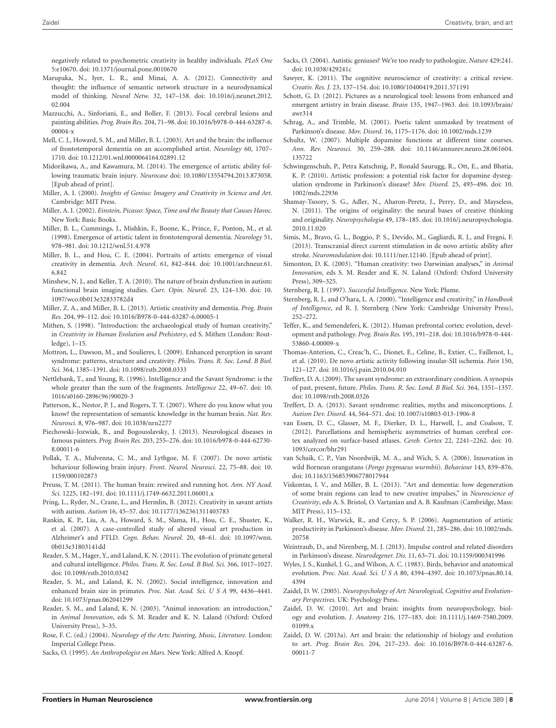- <span id="page-7-46"></span>Marupaka, N., Iyer, L. R., and Minai, A. A. (2012). Connectivity and thought: the influence of semantic network structure in a neurodynamical model of thinking. *Neural Netw.* 32, 147–158. doi: 10.1016/j.neunet.2012. 02.004
- <span id="page-7-16"></span>Mazzucchi, A., Sinforiani, E., and Boller, F. (2013). Focal cerebral lesions and painting abilities. *Prog. Brain Res.* 204, 71–98. doi: 10.1016/b978-0-444-63287-6. 00004-x
- <span id="page-7-26"></span>Mell, C. J., Howard, S. M., and Miller, B. L. (2003). Art and the brain: the influence of frontotemporal dementia on an accomplished artist. *Neurology* 60, 1707– 1710. doi: 10.1212/01.wnl.0000064164.02891.12
- <span id="page-7-23"></span>Midorikawa, A., and Kawamura, M. (2014). The emergence of artistic ability following traumatic brain injury. *Neurocase* doi: 10.1080/13554794.2013.873058. [Epub ahead of print].
- <span id="page-7-2"></span>Miller, A. I. (2000). *Insights of Genius: Imagery and Creativity in Science and Art.* Cambridge: MIT Press.
- <span id="page-7-3"></span>Miller, A. I. (2002). *Einstein, Picasso: Space, Time and the Beauty that Causes Havoc.* New York: Basic Books.
- <span id="page-7-24"></span>Miller, B. L., Cummings, J., Mishkin, F., Boone, K., Prince, F., Ponton, M., et al. (1998). Emergence of artistic talent in frontotemporal dementia. *Neurology* 51, 978–981. doi: 10.1212/wnl.51.4.978
- <span id="page-7-27"></span>Miller, B. L., and Hou, C. E. (2004). Portraits of artists: emergence of visual creativity in dementia. *Arch. Neurol.* 61, 842–844. doi: 10.1001/archneur.61. 6.842
- <span id="page-7-38"></span>Minshew, N. J., and Keller, T. A. (2010). The nature of brain dysfunction in autism: functional brain imaging studies. *Curr. Opin. Neurol.* 23, 124–130. doi: 10. 1097/wco.0b013e32833782d4
- <span id="page-7-28"></span>Miller, Z. A., and Miller, B. L. (2013). Artistic creativity and dementia. *Prog. Brain Res.* 204, 99–112. doi: 10.1016/B978-0-444-63287-6.00005-1
- <span id="page-7-1"></span>Mithen, S. (1998). "Introduction: the archaeological study of human creativity," in *Creativity in Human Evolution and Prehistory*, ed S. Mithen (London: Routledge), 1–15.
- <span id="page-7-36"></span>Mottron, L., Dawson, M., and Soulieres, I. (2009). Enhanced perception in savant syndrome: patterns, structure and creativity. *Philos. Trans. R. Soc. Lond. B Biol. Sci.* 364, 1385–1391. doi: 10.1098/rstb.2008.0333
- <span id="page-7-41"></span>Nettlebank, T., and Young, R. (1996). Intelligence and the Savant Syndrome: is the whole greater than the sum of the fragments. *Intelligence* 22, 49–67. doi: 10. 1016/s0160-2896(96)90020-3
- <span id="page-7-45"></span>Patterson, K., Nestor, P. J., and Rogers, T. T. (2007). Where do you know what you know? the representation of semantic knowledge in the human brain. *Nat. Rev. Neurosci.* 8, 976–987. doi: 10.1038/nrn2277
- <span id="page-7-17"></span>Piechowski-Jozwiak, B., and Bogousslavsky, J. (2013). Neurological diseases in famous painters. *Prog. Brain Res.* 203, 255–276. doi: 10.1016/b978-0-444-62730- 8.00011-6
- <span id="page-7-20"></span>Pollak, T. A., Mulvenna, C. M., and Lythgoe, M. F. (2007). De novo artistic behaviour following brain injury. *Front. Neurol. Neurosci.* 22, 75–88. doi: 10. 1159/000102873
- <span id="page-7-4"></span>Preuss, T. M. (2011). The human brain: rewired and running hot. *Ann. NY Acad. Sci.* 1225, 182–191. doi: 10.1111/j.1749-6632.2011.06001.x
- <span id="page-7-42"></span>Pring, L., Ryder, N., Crane, L., and Hermlin, B. (2012). Creativity in savant artists with autism. *Autism* 16, 45–57. doi: 10.1177/1362361311403783
- <span id="page-7-29"></span>Rankin, K. P., Liu, A. A., Howard, S. M., Slama, H., Hou, C. E., Shuster, K., et al. (2007). A case-controlled study of altered visual art production in Alzheimer's and FTLD. *Cogn. Behav. Neurol.* 20, 48–61. doi: 10.1097/wnn. 0b013e31803141dd
- <span id="page-7-9"></span>Reader, S. M., Hager, Y., and Laland, K. N. (2011). The evolution of primate general and cultural intelligence. *Philos. Trans. R. Soc. Lond. B Biol. Sci.* 366, 1017–1027. doi: 10.1098/rstb.2010.0342
- <span id="page-7-7"></span>Reader, S. M., and Laland, K. N. (2002). Social intelligence, innovation and enhanced brain size in primates. *Proc. Nat. Acad. Sci. U S A* 99, 4436–4441. doi: 10.1073/pnas.062041299
- <span id="page-7-10"></span>Reader, S. M., and Laland, K. N. (2003). "Animal innovation: an introduction," in *Animal Innovation*, eds S. M. Reader and K. N. Laland (Oxford: Oxford University Press), 3–35.
- <span id="page-7-13"></span>Rose, F. C. (ed.) (2004). *Neurology of the Arts: Painting, Music, Literature.* London: Imperial College Press.
- <span id="page-7-39"></span>Sacks, O. (1995). *An Anthropologist on Mars.* New York: Alfred A. Knopf.
- <span id="page-7-40"></span>Sacks, O. (2004). Autistic geniuses? We're too ready to pathologize. *Nature* 429:241. doi: 10.1038/429241c
- <span id="page-7-44"></span>Sawyer, K. (2011). The cognitive neuroscience of creativity: a critical review. *Creativ. Res. J.* 23, 137–154. doi: 10.1080/10400419.2011.571191
- <span id="page-7-21"></span>Schott, G. D. (2012). Pictures as a neurological tool: lessons from enhanced and emergent artistry in brain disease. *Brain* 135, 1947–1963. doi: 10.1093/brain/ awr314
- <span id="page-7-34"></span>Schrag, A., and Trimble, M. (2001). Poetic talent unmasked by treatment of Parkinson's disease. *Mov. Disord.* 16, 1175–1176. doi: 10.1002/mds.1239
- <span id="page-7-35"></span>Schultz, W. (2007). Multiple dopamine functions at different time courses. *Ann. Rev. Neurosci.* 30, 259–288. doi: 10.1146/annurev.neuro.28.061604. 135722
- <span id="page-7-33"></span>Schwingenschuh, P., Petra Katschnig, P., Ronald Saurugg, R., Ott, E., and Bhatia, K. P. (2010). Artistic profession: a potential risk factor for dopamine dysregulation syndrome in Parkinson's disease? *Mov. Disord.* 25, 493–496. doi: 10. 1002/mds.22936
- <span id="page-7-6"></span>Shamay-Tsoory, S. G., Adler, N., Aharon-Peretz, J., Perry, D., and Mayseless, N. (2011). The origins of originality: the neural bases of creative thinking and originality. *Neuropsychologia* 49, 178–185. doi: 10.1016/j.neuropsychologia. 2010.11.020
- <span id="page-7-22"></span>Simis, M., Bravo, G. L., Boggio, P. S., Devido, M., Gagliardi, R. J., and Fregni, F. (2013). Transcranial direct current stimulation in de novo artistic ability after stroke. *Neuromodulation* doi: 10.1111/ner.12140. [Epub ahead of print].
- <span id="page-7-0"></span>Simonton, D. K. (2003). "Human creativity: two Darwinian analyses," in *Animal Innovation*, eds S. M. Reader and K. N. Laland (Oxford: Oxford University Press), 309–325.
- <span id="page-7-47"></span>Sternberg, R. J. (1997). *Successful Intelligence.* New York: Plume.
- <span id="page-7-8"></span>Sternberg, R. J., and O'hara, L. A. (2000). "Intelligence and creativity," in *Handbook of Intelligence*, ed R. J. Sternberg (New York: Cambridge University Press), 252–272.
- <span id="page-7-30"></span>Teffer, K., and Semendeferi, K. (2012). Human prefrontal cortex: evolution, development and pathology. *Prog. Brain Res.* 195, 191–218. doi: 10.1016/b978-0-444- 53860-4.00009-x
- <span id="page-7-19"></span>Thomas-Anterion, C., Creac'h, C., Dionet, E., Celine, B., Extier, C., Faillenot, I., et al. (2010). De novo artistic activity following insular-SII ischemia. *Pain* 150, 121–127. doi: 10.1016/j.pain.2010.04.010
- <span id="page-7-37"></span>Treffert, D. A. (2009). The savant syndrome: an extraordinary condition. A synopsis of past, present, future. *Philos. Trans. R. Soc. Lond. B Biol. Sci.* 364, 1351–1357. doi: 10.1098/rstb.2008.0326
- <span id="page-7-43"></span>Treffert, D. A. (2013). Savant syndrome: realities, myths and misconceptions. *J. Autism Dev. Disord.* 44, 564–571. doi: 10.1007/s10803-013-1906-8
- <span id="page-7-5"></span>van Essen, D. C., Glasser, M. F., Dierker, D. L., Harwell, J., and Coalson, T. (2012). Parcellations and hemispheric asymmetries of human cerebral cortex analyzed on surface-based atlases. *Cereb. Cortex* 22, 2241–2262. doi: 10. 1093/cercor/bhr291
- <span id="page-7-11"></span>van Schaik, C. P., Van Noordwijk, M. A., and Wich, S. A. (2006). Innovation in wild Bornean orangutans (*Pongo pygmaeus wurmbii*). *Behaviour* 143, 839–876. doi: 10.1163/156853906778017944
- <span id="page-7-25"></span>Viskontas, I. V., and Miller, B. L. (2013). "Art and dementia: how degeneration of some brain regions can lead to new creative impulses," in *Neuroscience of Creativity*, eds A. S. Bristol, O. Vartanian and A. B. Kaufman (Cambridge, Mass: MIT Press), 115–132.
- <span id="page-7-32"></span>Walker, R. H., Warwick, R., and Cercy, S. P. (2006). Augmentation of artistic productivity in Parkinson's disease. *Mov. Disord.* 21, 285–286. doi: 10.1002/mds. 20758
- <span id="page-7-31"></span>Weintraub, D., and Nirenberg, M. J. (2013). Impulse control and related disorders in Parkinson's disease. *Neurodegener. Dis.* 11, 63–71. doi: 10.1159/000341996
- <span id="page-7-12"></span>Wyles, J. S., Kunkel, J. G., and Wilson, A. C. (1983). Birds, behavior and anatomical evolution. *Proc. Nat. Acad. Sci. U S A* 80, 4394–4397. doi: 10.1073/pnas.80.14. 4394
- <span id="page-7-14"></span>Zaidel, D. W. (2005). *Neuropsychology of Art: Neurological, Cognitive and Evolutionary Perspectives.* UK: Psychology Press.
- <span id="page-7-18"></span>Zaidel, D. W. (2010). Art and brain: insights from neuropsychology, biology and evolution. *J. Anatomy* 216, 177–183. doi: 10.1111/j.1469-7580.2009. 01099.x
- <span id="page-7-15"></span>Zaidel, D. W. (2013a). Art and brain: the relationship of biology and evolution to art. *Prog. Brain Res.* 204, 217–233. doi: 10.1016/B978-0-444-63287-6. 00011-7